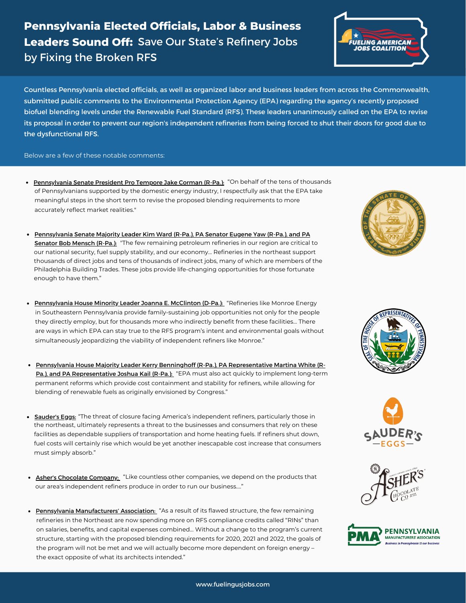# **Pennsylvania Elected Officials, Labor & Business Leaders Sound Off:** Save Our State's Refinery Jobs by Fixing the Broken RFS



Countless Pennsylvania elected officials, as well as organized labor and business leaders from across the Commonwealth, submitted public comments to the Environmental Protection Agency (EPA) regarding the agency's recently proposed biofuel blending levels under the Renewable Fuel Standard (RFS). These leaders unanimously called on the EPA to revise its proposal in order to prevent our region's independent refineries from being forced to shut their doors for good due to the dysfunctional RFS.

#### Below are a few of these notable comments:

- of Pennsylvanians supported by the domestic energy industry, I respectfully ask that the EPA take meaningful steps in the short term to revise the proposed blending requirements to more accurately reflect market realities." • [Pennsylvania](https://www.fuelingusjobs.com/library/public/Letters/Sen-Corman-RFS-Comments.pdf) Senate President Pro Tempore Jake Corman (R-Pa.): "On behalf of the tens of thousands
- [Pennsylvania](https://www.fuelingusjobs.com/library/public/Letters/Sens-Ward-Yaw-Mensch-RFS-Comments.pdf) Senate Majority Leader Kim Ward (R-Pa.), PA Senator Eugene Yaw (R-Pa.), and PA **<u>Senator Bob Mensch (R-Pa.):</u>** "The few remaining petroleum refineries in our region are critical to our national security, fuel supply stability, and our economy... Refineries in the northeast support thousands of direct jobs and tens of thousands of indirect jobs, many of which are members of the Philadelphia Building Trades. These jobs provide life-changing opportunities for those fortunate enough to have them."
- in Southeastern Pennsylvania provide family-sustaining job opportunities not only for the people they directly employ, but for thousands more who indirectly benefit from these facilities… There are ways in which EPA can stay true to the RFS program's intent and environmental goals without simultaneously jeopardizing the viability of independent refiners like Monroe." • [Pennsylvania](https://www.fuelingusjobs.com/library/public/Letters/Rep-McClinton-RFS-Comments.pdf) House Minority Leader Joanna E. McClinton (D-Pa.): "Refineries like Monroe Energy
- Pennsylvania House Majority Leader Kerry Benninghoff (R-Pa.), PA [Representative](https://www.fuelingusjobs.com/library/public/Letters/Reps-Benninghoff-White-Kail-RFS-Comments.pdf) Martina White (R-Pa.), and PA Representative Joshua Kail (R-Pa.)[:](https://www.fuelingusjobs.com/library/public/Letters/Reps-Benninghoff-White-Kail-RFS-Comments.pdf) "EPA must also act quickly to implement long-term permanent reforms which provide cost containment and stability for refiners, while allowing for blending of renewable fuels as originally envisioned by Congress."
- [Sauder's](https://www.fuelingusjobs.com/library/public/Letters/Sauders-Eggs-RFS-Comments.pdf) Eggs: "The threat of closure facing America's independent refiners, particularly those in the northeast, ultimately represents a threat to the businesses and consumers that rely on these facilities as dependable suppliers of transportation and home heating fuels. If refiners shut down, fuel costs will certainly rise which would be yet another inescapable cost increase that consumers must simply absorb."
- Asher's [Chocolate](https://www.fuelingusjobs.com/library/public/Letters/Ashers-Chocolates-RFS-Comments.pdf) Company[:](https://www.fuelingusjobs.com/library/public/Letters/Ashers-Chocolates-RFS-Comments.pdf) "Like countless other companies, we depend on the products that our area's independent refiners produce in order to run our business…."
- Pennsylvania [Manufacturers'](https://www.fuelingusjobs.com/library/public/Letters/PMA-RFS-Comments.pdf) Association[:](https://www.fuelingusjobs.com/library/public/Letters/PMA-RFS-Comments.pdf) "As a result of its flawed structure, the few remaining refineries in the Northeast are now spending more on RFS compliance credits called "RINs" than on salaries, benefits, and capital expenses combined… Without a change to the program's current structure, starting with the proposed blending requirements for 2020, 2021 and 2022, the goals of the program will not be met and we will actually become more dependent on foreign energy – the exact opposite of what its architects intended."





![](_page_0_Picture_13.jpeg)

![](_page_0_Picture_14.jpeg)

![](_page_0_Picture_15.jpeg)